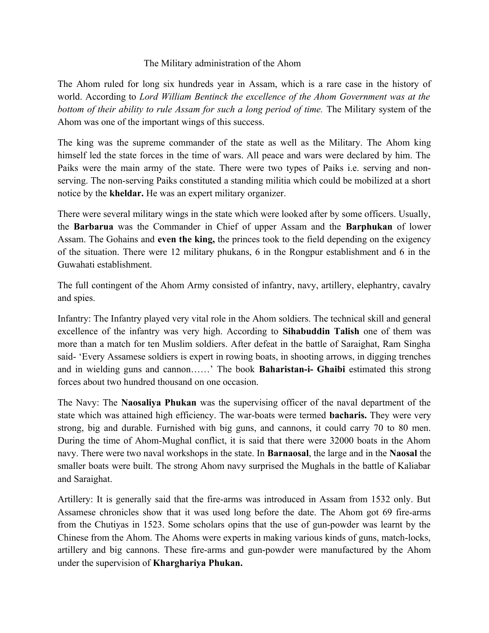## The Military administration of the Ahom

The Ahom ruled for long six hundreds year in Assam, which is a rare case in the history of world. According to *Lord William Bentinck the excellence of the Ahom Government was at the bottom of their ability to rule Assam for such a long period of time.* The Military system of the Ahom was one of the important wings of this success.

The king was the supreme commander of the state as well as the Military. The Ahom king himself led the state forces in the time of wars. All peace and wars were declared by him. The Paiks were the main army of the state. There were two types of Paiks i.e. serving and nonserving. The non-serving Paiks constituted a standing militia which could be mobilized at a short notice by the **kheldar.** He was an expert military organizer.

There were several military wings in the state which were looked after by some officers. Usually, the **Barbarua** was the Commander in Chief of upper Assam and the **Barphukan** of lower Assam. The Gohains and **even the king,** the princes took to the field depending on the exigency of the situation. There were 12 military phukans, 6 in the Rongpur establishment and 6 in the Guwahati establishment.

The full contingent of the Ahom Army consisted of infantry, navy, artillery, elephantry, cavalry and spies.

Infantry: The Infantry played very vital role in the Ahom soldiers. The technical skill and general excellence of the infantry was very high. According to **Sihabuddin Talish** one of them was more than a match for ten Muslim soldiers. After defeat in the battle of Saraighat, Ram Singha said- 'Every Assamese soldiers is expert in rowing boats, in shooting arrows, in digging trenches and in wielding guns and cannon……' The book **Baharistan-i- Ghaibi** estimated this strong forces about two hundred thousand on one occasion.

The Navy: The **Naosaliya Phukan** was the supervising officer of the naval department of the state which was attained high efficiency. The war-boats were termed **bacharis.** They were very strong, big and durable. Furnished with big guns, and cannons, it could carry 70 to 80 men. During the time of Ahom-Mughal conflict, it is said that there were 32000 boats in the Ahom navy. There were two naval workshops in the state. In **Barnaosal**, the large and in the **Naosal** the smaller boats were built. The strong Ahom navy surprised the Mughals in the battle of Kaliabar and Saraighat.

Artillery: It is generally said that the fire-arms was introduced in Assam from 1532 only. But Assamese chronicles show that it was used long before the date. The Ahom got 69 fire-arms from the Chutiyas in 1523. Some scholars opins that the use of gun-powder was learnt by the Chinese from the Ahom. The Ahoms were experts in making various kinds of guns, match-locks, artillery and big cannons. These fire-arms and gun-powder were manufactured by the Ahom under the supervision of **Kharghariya Phukan.**